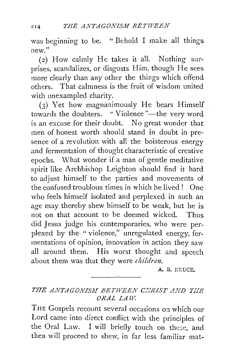was beginning to be. " Behold I make all things new."

(2) How calmly He takes it all. Nothing surprises, scandalizes, or disgusts Him, though He sees more clearly than any other the things which offend others. That calmness is the fruit of wisdom united with unexampled charity.

 $(3)$  Yet how magnanimously He bears Himself towards the doubters. "Violence"—the very word is an excuse for their doubt. No great wonder that men of honest worth should stand in doubt in presence of a revolution with all the boisterous energy and fermentation of thought characteristic of creative epochs. What wonder if a man of gentle meditative spirit like Archbishop Leighton should find it hard to adjust himself to the parties and movements of the confused troublous times in which he lived ! One who feels himself isolated and perplexed in such an age may thereby shew himself to be weak, but he is not on that account to be deemed wicked. Thus did Jesus judge his contemporaries, who were perplexed by the " violence," unregulated energy, fermentations of opinion, innovation in action they saw all around them. His worst thought and speech about them was that they were *childrm.* 

A. B. DRUCE.

## *THE ANTAGONISJII BETWEEN C!JRIST AND TJIE ORAL LA* TV.

THE Gospels recount several occasions on which our Lord came into direct conflict with the principles of the Oral Law. I will briefly touch on these, and then will proceed to shew, in far less familiar mat-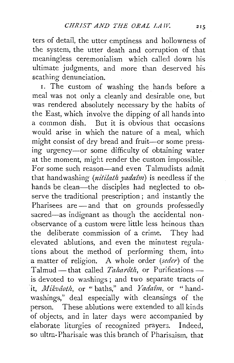ters of detail, the utter emptiness and hollowness of the system, the utter death and corruption of that meaningless ceremonialism which called down his ultimate judgments, and more than deserved his scathing denunciation.

1. The custom of washing the hands before a meal was not only a cleanly and desirable one, but was rendered absolutely necessary by the habits of the East, which involve the dipping of all hands into a common dish. But it is obvious that occasions would arise in which the nature of a meal, which might consist of dry bread and fruit-or some pressing urgency-or some difficulty of obtaining water at the moment, might render the custom impossible. For some such reason-and even Talmudists admit that handwashing *(nitilath yadaîm)* is needless if the hands be clean—the disciples had neglected to observe the traditional prescription; and instantly the Pharisees are  $-$  and that on grounds professedly sacred-as indignant as though the accidental nonobservance of a custom were little less heinous than the deliberate commission of a crime. They had elevated ablutions, and even the minutest regulations about the method of performing them, into a matter of religion. A whole order *(seder)* of the Talmud -that called *Taharôth*, or Purificationsis devoted to washings ; and two separate tracts of it, *Mikvâoth*, or "baths," and *Yadaîm*, or "handwashings," deal especially with cleansings of the person. These ablutions were extended to all kinds of objects, and in later days were accompanied by elaborate liturgies of recognized prayers. Indeed, so ultra-Pharisaic was this branch of Pharisaism, that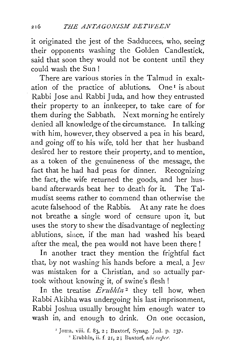it originated the jest of the Sadducees, who, seeing their opponents washing the Golden Candlestick, said that soon they would not be content until they could wash the Sun !

There are various stories in the Talmud in exaltation of the practice of ablutions. One<sup>1</sup> is about Rabbi Jose and Rabbi Juda, and how they entrusted their property to an innkeeper, to take care of for them during the Sabbath. Next morning he entirely denied all knowledge of the circumstance. In talking with him, however, they observed a pea in his beard, and going off to his wife, told her that her husband desired her to restore their property, and to mention, as a token of the genuineness of the message, the fact that he had had peas for dinner. Recognizing the fact, the wife returned the goods, and her husband afterwards beat her to death for it. The Talmudist seems rather to commend than otherwise the acute falsehood of the Rabbis. At any rate he does not breathe a single word of censure upon it, but uses the story to shew the disadvantage of neglecting ablutions, since, if the man had washed his beard after the meal, the pea would not have been there!

In another tract they mention the frightful fact that, by not washing his hands before a meal, a Jew was mistaken for a Christian, and so actually partook without knowing it, of swine's flesh !

In the treatise *Erubhin*<sup>2</sup> they tell how, when Rabbi Akibha was undergoing his last imprisonment, Rabbi Joshua usually brought him enough water to wash in, and enough to drink. On one occasion.

<sup>1</sup> Joma, viii. f. 83, 2 ; Buxtorf, Synag. Jud. p. 237.<br>
<sup>2</sup> Erubhîn, ii. f. 21, 2; Buxtorf, *ubi super*.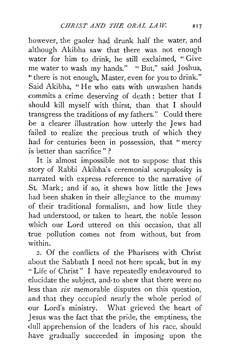however, the gaoler had drunk half the water, and although Akibha saw that there was not enough water for him to drink, he still exclaimed, "Give me water to wash my hands." " But," said Joshua, "there is not enough, Master, even for you to drink." Said Akibha, " He who eats with unwashen hands commits a crime deserving of death : better that I should kill myself with thirst, than that I should transgress the traditions of my fathers." Could there be a clearer illustration how utterly the Jews had failed to realize the precious truth of which they . had for centuries been in possession, that "mercy is better than sacrifice " ?

It is almost impossible not to suppose that this story of Rabbi Akibha's ceremonial scrupulosity is narrated with express reference to the narrative of St. Mark; and if so, it shews how little the Jews had been shaken in their allegiance to the mummy of their traditional formalism, and how little they had understood, or taken to heart, the noble lesson which our Lord uttered on this occasion, that all true pollution comes not from without, but from within.

2. Of the conflicts of the Pharisees with Christ about the Sabbath I need not here speak, but in my " Life of Christ" I have repeatedly endeavoured to elucidate the subject, and· to shew that there were no less than  $six$  memorable disputes on this question, and that they occupied nearly the whole period of our Lord's ministry. What grieved the heart of Jesus was the fact that the pride, the emptiness, the dull apprehension of the leaders of his race, should have gradually succeeded in imposing upon the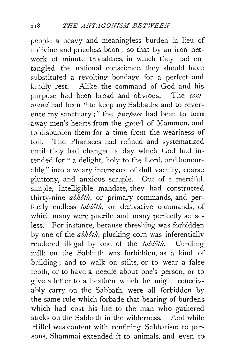people a heavy and meaningless burden in lieu of a divine and priceless boon ; so that by an iron network of minute trivialities, in which they had entangled the national conscience, they should have substituted a revolting bondage for a perfect and kindly rest. Alike the command of God and his. purpose had been broad and obvious. The com*mand* had been " to keep my Sabbaths and to reverence my sanctuary;" the *purpose* had been to turn . away men's hearts from the greed of Mammon, and to disburden them for a time from the weariness of toil. The Pharisees had refined and systematized until they had changed a day which God had intended for " a delight, holy to the Lord, and honourable," into a weary interspace of dull vacuity, coarse gluttony, and anxious scruple. Out of a merciful, simple, intelligible mandate, they had constructed thirty-nine *abhôth*, or primary commands, and perfectly endless *toldôth*, or derivative commands, of which many were puerile and many perfectly senseless. For instance, because threshing was forbidden by one of the *abhôth*, plucking corn was inferentially rendered illegal by one of the *toldôth*. Curdling milk on the Sabbath was forbidden, as a kind of building; and to walk on stilts, or to wear a false tooth; or to have a needle about one's person, or to give a letter to a heathen which he might conceivably carry on the Sabbath, were all forbidden by the same rule which forbade that bearing of burdens which had cost his life to the man who gathered sticks on the Sabbath in the wilderness. And while Hillel was content with confining Sabbatism to persons, Shammai extended it to animals, and even to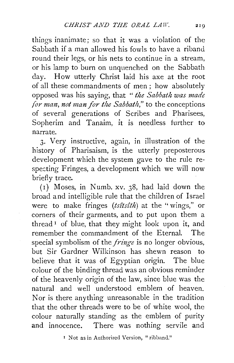things inanimate; so that it was a violation of the Sabbath if a man allowed his fowls to have a riband round their legs, or his nets to continue in a stream, or his lamp to burn on unquenched on the Sabbath day. How utterly Christ laid his axe at the root of all these commandments of men ; how absolutely opposed was his saying, that *"the Sabbath was made for man, not man for the Sabbath*," to the conceptions of several generations of Scribes and Pharisees, Sopherim and Tanaim, it is needless further to narrate.

3. Very instructive, again, in illustration of the history of Pharisaism, is the utterly preposterous development which the system gave to the rule respecting Fringes, a development which we will now briefly trace.

(I) Moses, in Numb. xv. 38, had laid down the broad and intelligible rule that the children of Israel were to make fringes (tsitsith) at the "wings," or corners of their garments, and to put upon them a thread  $\mathbf{I}$  of blue, that they might look upon it, and remember the commandment of the Eternal. The special symbolism of the *fringe* is no longer obvious, but Sir Gardner Wilkinson has shewn reason to believe that it was of Egyptian origin. The blue colour of the binding thread was an obvious reminder of the heavenly origin of the law, since blue was the natural and well understood emblem of heaven. Nor is there anything unreasonable in the tradition that the other threads were to be of white wool, the colour naturally standing as the emblem of purity and innocence. There was nothing servile and

<sup>1</sup> Not as in Authorized Version, "ribband."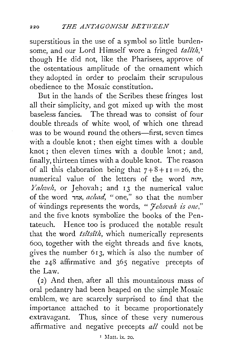superstitious in the use of a symbol so little burdensome, and our Lord Himself wore a fringed *talîth*,<sup>*1*</sup> though He did not, like the Pharisees, approve of the ostentatious amplitude of the ornament which they adopted in order to proclaim their scrupulous obedience to the Mosaic constitution.

But in the hands of the Scribes these fringes lost all their simplicity, and got mixed up with the most baseless fancies. The thread was to consist of four double threads of white wool, of which one thread was to be wound round the others—first, seven times with a double knot ; then eight times with a double knot ; then eleven times with a double knot; and, finally, thirteen times with a double knot. The reason of all this elaboration being that  $7+8+11=26$ , the numerical value of the letters of the word nw, *Yahveh*, or Jehovah; and 13 the numerical value of the word in~, *achad,* "one," so that the number of \vindings represents the words, *"Je!tovah is one,"*  and the five knots symbolize the books of the Pentateuch. Hence too is produced the notable result that the word *tsîtsîth*, which numerically represents 6oo, together with the eight threads and five knots, gives the number 6I3, which is also the number of the 248 affirmative and 365 negative precepts of the Law.

(2) And then, after all this mountainous mass of oral pedantry had been heaped on the simple Mosaic emblem, we are scarcely surprised to find that the importance attached to it became proportionately extravagant. Thus, since of these very numerous affirmative and negative precepts *all* could not be

 $I$  Matt. ix. 20.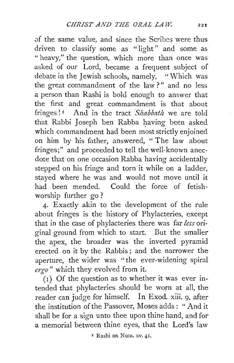of the same value, and since the Scribes were thus driven to classify some as "light" and some as " heavy," the question, which more than once was asked of our Lord, became a frequent subject of debate in the Jewish schools, namely, "Which was the great commandment of the law ? " and no less a person than Rashi is bold enough to answer that the first and great commandment is that about fringes!<sup>1</sup> And in the tract *Shabbath* we are told that Rabbi Joseph ben Rabba having been asked which commandment had been most strictly enjoined on him by his father, answered, "The law about fringes;" and proceeded to tell the well-known anecdote that on one occasion Rabba having accidentally stepped on his fringe and torn it while on a ladder, stayed where he was and would not move until it had been mended. Could the force of fetishworship further go ?

4· Exactly akin to the development of the rule about fringes is the history of Phylacteries, except that in the case of phylacteries there was far *less* original ground from which to start. But the smaller the apex, the broader was the inverted pyramid erected on it by the Rabbis ; and the narrower the aperture, the wider was "the ever-widening spiral *ergo"* which they evolved from it.

 $(1)$  Of the question as to whether it was ever intended that phylacteries should be worn at all, the reader can judge for himself. In Exod. xiii. 9, after the institution of the Passover, Moses adds : "And it shall be for a sign unto thee upon thine hand, and for a memorial between thine eyes, that the Lord's law

x Rashi on Num. xv. 41.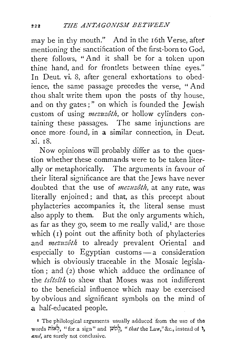may be in thy mouth." And in the 16th Verse, after mentioning the sanctification of the first-born to God, there follows, "And it shall be for a token upon thine hand, and for frontlets between thine eyes." In Deut. vi. 8, after general exhortations to obedience, the same passage precedes the verse, " And thou shalt write them upon the posts of thy house, and on thy gates ; " on which is founded the Jewish custom of using *mezuzoth,* or hollow cylinders containing these passages. The same injunctions are once more. found, in a similar connection, in Deut. xi. 18.

Now opinions will probably differ as to the question whether these commands were to be taken literally or metaphorically. The arguments in favour of their literal significance are that the Jews have never doubted that the use of *mezuzoth,* at any rate, was literally enjoined; and that, as this precept about phylacteries accompanies it, the literal sense must also apply to them. But the only arguments which, as far as they go, seem to me really valid, $I$  are those which  $(1)$  point out the affinity both of phylacteries .and *mezuzoth* to already prevalent Oriental and especially to Egyptian customs- a consideration which is obviously traceable in the Mosaic legislation; and (2) those which adduce the ordinance of the *ts£ts£th* to shew that Moses was not indifferent to the beneficial influence which may be exercised by obvious and significant symbols on the mind of a half-educated people.

<sup>&</sup>lt;sup>I</sup> The philological arguments usually adduced from the use of the words nix<sup>5</sup>, "for a sign" and  $\varphi$ ?, "*that* the Law," &c., instead of **1**, and, are surely not conclusive.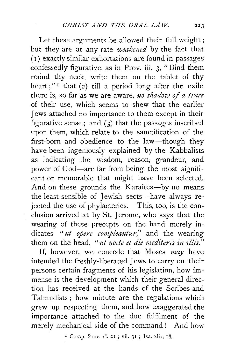Let these arguments be allowed their full weight; but they are at any rate *weakemd* by the fact that ( r) exactly similar exhortations are found in passages confessedly figurative, as in Prov. iii. 3, "Bind them round thy neck, write them on the tablet of thy heart;"<sup>I</sup> that (2) till a period long after the exile there is, so far as we are aware, *no shadow of a trace* of their use, which seems to shew that the earlier Jews attached no importance to them except in their figurative sense ; and (3) that the passages inscribed upon them, which relate to the sanctification of the first-born and obedience to the law-though they have been ingeniously explained by the Kabbalists as indicating the wisdom, reason, grandeur, and power of God-are far from being the most significant or memorable that might have been selected. And on these grounds the Karaites-by no means the least sensible of Jewish sects—have always rejected the use of phylacteries. This, too, is the conclusion arrived at by St. Jerome, who says that the wearing of these precepts on the hand merely indicates " *ut opere compleantur,"* and the wearing them on the head, "ut nocte et die mediteris in illis."

If, however, we concede that Moses *may* have intended the freshly-liberated Jews to carry on their persons certain fragments of his legislation, how immense is the development which their general direction has received at the hands of the Scribes and Talmudists; how minute are the regulations which grew up respecting them, and how exaggerated the importance attached to the due fulfilment of the merely mechanical side of the command! And how

1 Comp. Prov. vi. 21; vii. 31 ; Isa. xlix. 18.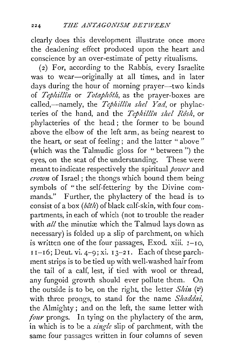clearly does this development illustrate once more the deadening effect produced upon the heart and conscience by an over-estimate of petty ritualisms.

( 2) For, according to the Rabbis, every Israelite was to wear-originally at all times, and in later days during the hour of morning prayer-two kinds of *Tephillin* or *Totaphôth*, as the prayer-boxes are called,-namely, the *Tephillin shel Yad*, or phylacteries of the hand, and the *Tephillîn shel Rôsh*, or phylacteries of the head ; the former to be bound above the elbow of the left arm, as being nearest to the heart, or seat of feeling; and the latter " above " (which was the Talmudic gloss for "between") the eyes, on the seat of the understanding. These were meant to indicate respectively the spiritual *power* and *crown* of Israel; the thongs which bound them being symbols of "the self-fettering by the Divine commands." Further, the phylactery of the head is to consist of a box *(beth)* of black calf-skin, with four compartments, in each of which (not to trouble the reader with *all* the minutiæ which the Talmud lays down as necessary) is folded up a slip of parchment, on which is written one of the four passages, Exod. xiii.  $I-IO$ ,  $I I-I6$ ; Deut. vi. 4-9; xi.  $I3-2I$ . Each of these parchment strips is to be tied up with well-washed hair from the tail of a calf, lest, if tied with wool or thread, any fungoid growth should ever pollute them. On the outside is to be, on the right, the letter  $Shin$  ( $v$ ) with three prongs, to stand for the name *Shaddai,*  the Almighty ; and on the left, the same letter with *four* prongs. In tying on the phylactery of the arm, in which is to be a *single* slip of parchment, with the same four passages written in four columns of seven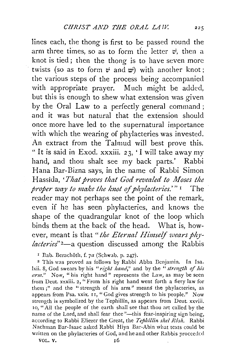lines each, the thong is first to be passed round the arm three times, so as to form the letter  $\vec{v}$ , then a knot is tied; then the thong is to have seven more twists (so as to form  $\psi$  and  $\psi$ ) with another knot; the various steps of the process being accompanied with appropriate prayer. Much might be added, but this is enough to shew what extension was given by the Oral Law to a perfectly general command ; and it was but natural that the extension should once more have led to the supernatural importance with which the wearing of phylacteries was invested. An extract from the Talmud will best prove this. "It is said in Exod. xxxiii. 23, 'I will take away my hand, and thou shalt see my back parts.' Rabbi Hana Bar-Bizna says, in the name of Rabbi Simon Hassida, *'That proves that God revealed to Moses the proper way to make the knot of phylacteries.'"* I The reader may not perhaps see the point of the remark, even if he has seen phylacteries, and knows the shape of the quadrangular knot of the loop which binds them at the back of the head. What is, however, meant is that *"the Eternal Himself wears phylacteries"2-a* question discussed among the Rabbis

<sup>1</sup> Bab. Berachôth, f. 7a (Schwab. p. 247).

2 This was proved as follows by Rabbi Abba Dcnjamin. In Isa. lxii. 8, God swears by his "right hand," and by the "strength of his *arm."* Now, "his right hand" represents the Law, as may be seen from Dcut. xxxiii. 2, "From his right hand went forth a fiery law for them;" and the "strength of his arm" means the phylacteries, as appears from Psa. xxix. II, "God gives strength to his people." Now strength is symbolized by the Tephillin, as appears from Deut. xxviii. 10, "All the people of the earth shall see that thou art called by the name of the Lord, and shall fear thee "-this fear-inspiring sign being, according to Rabbi Eliezer the Great, the *Tephillin shel Rôsh*. Rabbi Nachman Bar-Isaac asked Rabbi Hiya Bar-Abin what texts could be written on the phylacteries of God, and he and other Rabbis proceeded VOL. V. 16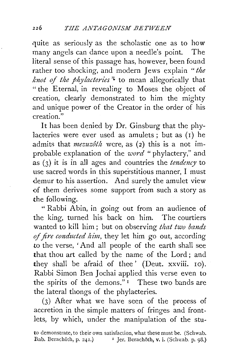quite as seriously as the scholastic one as to how many angels can dance upon a needle's point. The literal sense of this passage has, however, been found rather too shocking, and modern Jews explain *"the knot of the phylacteries*<sup>2</sup> to mean allegorically that "the Eternal, in revealing to Moses the object of creation, clearly demonstrated to him the mighty and unique power of the Creator in the order of his creation."

It has been denied by Dr. Ginsburg that the phylacteries were ever used as amulets : but as  $(1)$  he admits that *mezuzôth* were, as (2) this is a not improbable explanation of the *word* "phylactery," and as (3) it is in all ages and countries the *tmdency* to use sacred words in this superstitious manner, I must demur to his assertion. And surely the amulet view of them derives some support from such a story as the following.

" Rabbi Abin, in going out from an audience of the king, turned his back on him. The courtiers wanted to kill him ; but on observing *that two bands of fire conducted him,* they let him go out, according to the verse, ' And all people of the earth shall see that thou art called by the name of the Lord ; and they shall be afraid of thee' (Deut. xxviii. 10). Rabbi Simon Ben Jochai applied this verse even to the spirits of the demons." 1 These two bands are the lateral thongs of the phylacteries.

(3) After what we have seen of the process of accretion in the simple matters of fringes and frontlets, by which, under the manipulation of the stu-

to demonstrate, to their own satisfaction, what these must be. (Schwab. Bab. Berachôth, p. 241.) <sup>1</sup> Jer. Berachôth, v. i. (Schwab. p. 98.)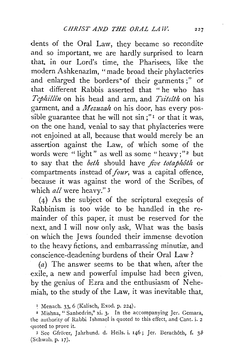dents of the Oral Law, they became so recondite and so important, we are hardly surprised to learn that, in our Lord's time, the Pharisees, like the modern Ashkenazim, "made broad their phylacteries and enlarged the borders<sup>\*</sup> of their garments;" or that different Rabbis asserted that "he who has *Tcphill£1z* on his head and arm, and *Tsitstth* on his garment, and a *Mezuzah* on his door, has every possible guarantee that he will not  $\sin$ ;"<sup>1</sup> or that it was, on the one hand, venial to say that phylacteries were not enjoined at all, because that would merely be an assertion against the Law, of which some of the words were "light" as well as some "heavy;"<sup>2</sup> but to say that the *beth* should have *jive totaphoth* or compartments instead of *four,* was a capital offence, because it was against the word of the Scribes, of which *all* were heavy." 3

(4) As the subject of the scriptural exegesis of Rabbinism is too wide to be handled in the remainder of this paper, it must be reserved for the next, and I will now only ask, What was the basis on which the Jews founded their immense devotion to the heavy fictions, and embarrassing minutiæ, and conscience-deadening burdens of their Oral Law?

(a) The answer seems to be that when, after the exile, a new and powerful impulse had been given, by the genius of Ezra and the enthusiasm of Nehemiah, to the study of the Law, it was inevitable that,

<sup>3</sup> See Gfrörer, Jahrhund. d. Heils. i. 146; Jer. Berachôth, f. 3b (Schwab. p. 17).

<sup>&</sup>lt;sup>1</sup> Menach. 33, 6 (Kalisch, Exod. p. 224).

<sup>2</sup> Mishna, "Sanhedrin," xi. 3· In the accompanying Jer. Gemara, the authority of Rabbi Ishmael is quoted to this effect, and Cant. i. 2 quoted to prove it.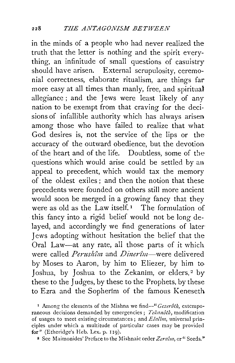in the minds of a people who had never realized the truth that the letter is nothing and the spirit everything, an infinitude of small questions of casuistry should have arisen. External scrupulosity, ceremonial correctness, elaborate ritualism, are things far more easy at all times than manly, free, and spiritual allegiance ; and the Jews were least likely of any nation to be exempt from that craving for the decisions of infallible authority which has always arisen among those who have failed to realize that what God desires is, not the service of the lips or the accuracy of the outward obedience, but the devotion of the heart and of the life. Doubtless, some of the questions which would arise could be settled by an appeal to precedent, which would tax the memory of the oldest exiles ; and then the notion that these precedents were founded on others still more ancient would soon be merged in a growing fancy that they were as old as the Law itself.<sup>1</sup> The formulation of this fancy into a rigid belief would not be long delayed, and accordingly we find generations of later-Jews adopting without hesitation the belief that the Oral Law-at any rate, all those parts of it which were called *Perushim* and *Dinerim*—were delivered by Moses to Aaron, by him to Eliezer, by him to· Joshua, by Joshua to the Zekanim, or elders,<sup>2</sup> by these to the Judges, by these to the Prophets, by these to Ezra and the Sopherim of the famous Keneseth

<sup>1</sup> Among the elements of the Mishna we find-" *Gezerôth*, extemporaneous decisions demanded by emergencies ; Tekanôth, modification of usages to meet existing circumstances ; and *Elalim,* universal principles under which a multitude of particular cases may be provided for" (Etheridge's Heb. Lex. p. 119).

2 See Maimonides' Preface to the Mishnaic order *Zeraim,* or" Seeds."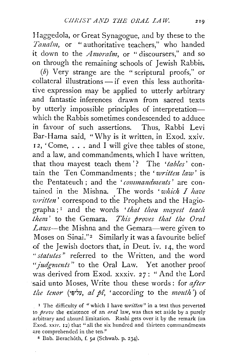Haggedola, or Great Synagogue, and by these to the *Tana£m,* or " authoritative teachers," who handed it down to the *Amora£m,* or "discoursers," and so on through the remaining schools of Jewish Rabbis.

(b) Very strange are the " scriptural proofs," or  $collateral$  illustrations  $-$  if even this less authoritative expression may be applied to utterly arbitrary and fantastic inferences drawn from sacred texts by utterly impossible principles of interpretationwhich the Rabbis sometimes condescended to adduce in favour of such assertions. Thus, Rabbi Levi Bar-Hama said, "Why is it written, in Exod. xxiv. <sup>I</sup>*2,* 'Come, ... and I will give thee tables of stone, and a law, and commandments, which I have written, that thou mayest teach them '? The *'tables'* contain the Ten Commandments; the 'written law' is the Pentateuch : and the 'commandments' are contained in the Mishna. The words *'which I have writtm'* correspond to the Prophets and the Hagiographa;<sup>1</sup> and the words 'that thou mayest teach *them* ' to the Gemara. *This proves that the Oral Laws-the* Mishna and the Gemara-were given to Moses on Sinai."<sup>2</sup> Similarly it was a favourite belief of the Jewish doctors that, in Deut. iv. 14, the word *"statutes"* referred to the Written, and the word *"judgments"* to the Oral Law. Yet another proof was derived from Exod. xxxiv. 27: "And the Lord said unto Moses, Write thou these words : for *after t!te tmor* (·~-:,y, *a! p£,* 'according to the *mouth')* of

<sup>1</sup> The difficulty of "which I have *written*" in a text thus perverted to *prove* the existence of an *oral* law, was thus set aside by a purely arbitrary and absurd limitation. Rashi gets over it by the remark (on Exod. xxiv. 12) that "all the six hundred and thirteen commandments are comprehended in the ten."

*z* Bab. Berach6th, f. *sa* (Schwab. p. 234).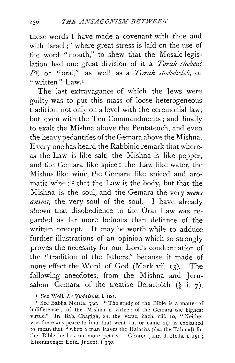these words I have made a covenant with thee and with Israel;" where great stress is laid on the use of the word "mouth," to shew that the Mosaic legislation had one great division of it a *Toralt shebeal P£,* or "oral," as well as a *Torah sltebeheteb,* or " written" Law.<sup>1</sup>

The last extravagance of which the Jews were guilty was to put this mass of loose heterogeneous tradition, not only on a level with the ceremonial law, but even with the Ten Commandments; and finally to exalt the Mishna above the Pentateuch, and even the heavypedantries of the Gemara above the Mishna. Every one has heard the Rabbinic remark that whereas the Law is like salt, the Mishna is like pepper, and the Gemara like spice : the Law like water, the Mishna like wine, the Gemara like spiced and aromatic wine : 2 that the Law is the body, but that the Mishna is the soul, and the Gemara the very *mens animi*, the very soul of the soul. I have already shewn that disobedience to the Oral Law was regarded as far more heinous than defiance of the written precept. It may be worth while to adduce further illustrations of an opinion which so strongly proves the necessity for our Lord's condemnation of the "tradition of the fathers," because it made of none effect the Word of God (Mark vii. 13). The following anecdotes, from the Mishna and Jerusalem Gemara of the treatise Berachôth  $(\S$  i. 7),

1 See Weil, *Le Judaisme,* i. IOI.

2 See Babha Metz:a, *33a.* "The study of the Bible is a matter of indifference ; of the Mishna a virtue ; of the Gemara the highest virtue." In Bab. Chagiga, *xa,* the verse, Zach. viii. 10, "Neither was there any peace to him that went out or came in," is explained to mean that "when a man leaves the Halacha *(i.e.,* the Talmud) for the Bible he has no more peace." Gfrorer Jahr. d. Heils. i. 151; Eisenmenger Entd. Judcnt. i 330.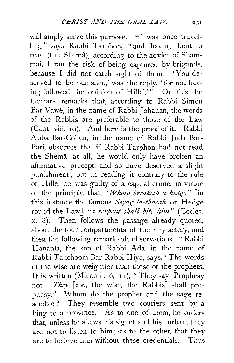will amply serve this purpose. "I was once travelling," says Rabbi Tarphon, "and having bent to read (the Shema), according to the advice of Shammai, I ran the risk of being captured by brigands, because I did not catch sight of them. 'You deserved to be punished,' was the reply, 'for not having followed the opinion of Hillel.'" On this the Gemara remarks that, according to Rabbi Simon Bar-Vawé, in the name of Rabbi *Johanan*, the words of the Rabbis are preferable to those of the Law (Cant. viii. 10). And here is the proof of it. Rabbi Abba Bar-Cohen, in the name of Rabbi Juda Bar-Pari, observes that if Rabbi Tarphon had not read the Shema at all, he would only have broken an affirmative precept, and so have deserved a slight punishment; but in reading it contrary to the rule of Hillel he was guilty of a capital crime, in virtue of the principle that, *"Whoso breaketh a hedge"* [in this instance the famous *Se)'ag la-thorah,* or Hedge round the Law], "*a serpent shall bite him*" (Eccles. x. 8). Then follows the passage already quoted, about the four compartments of the phylactery, and then the following remarkable observations. " Rabbi Hanania, the son of Rabbi Ada, in the name of Rabbi Tanchoom Bar-Rabbi Hiya, says,' The words of the wise are weightier than those of the prophets. It is written (Micah ii. 6, 11), "They say, Prophesy not. *They* [i.e., the wise, the Rabbis] shall prophesy." Whom do the prophet and the sage resemble ? They resemble two couriers sent by a king to a province. As to one of them, he orders that, unless he shews his signet and his turban, they are not to listen to him; as to the other, that they are to believe him without these credentials. Thus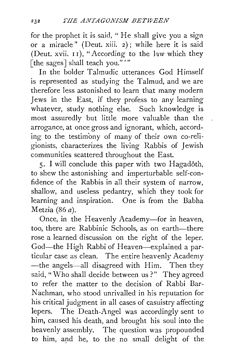for the prophet it is said, " He shall give you a sign or a miracle" (Deut. xiii. 2); while here it is said (Deut. xvii. II), "According to the law which they [the sages] shall teach you.""

In the bolder Talmudic utterances God Himself is represented as studying the Talmud, and we are therefore less astonished to learn that many modern Jews in the East, if they profess to any learning whatever, study nothing else. Such knowledge is most assuredly but little more valuable than the arrogance, at once gross and ignorant, which, according to the testimony of many of their own co-religionists, characterizes the living Rabbis of Jewish communities scattered throughout the East.

5· I will conclude this paper with two Hagadoth, to shew the astonishing and imperturbable self-confidence of the Rabbis in all their system of narrow, shallow, and useless pedantry, which they took for learning and inspiration. One is from the Babha Metzia (86 *a).* 

Once, in the Heavenly Academy-for in heaven, too, there are Rabbinic Schools, as on earth-there rose a learned discussion on the right of the leper. God-the High Rabbi of Heaven-explained a particular case as clean. The entire heavenly Academy -the angels-all disagreed with Him. Then they said, "Who shall decide between us?" They agreed to refer the matter to the decision of Rabbi Bar-Nachman, who stood unrivalled in his reputation for his critical judgment in all cases of casuistry affecting lepers. The Death-Angel was accordingly sent to him, caused his death, and brought his soul into the heavenly assembly. The question was propounded to him, and he, to the no small delight of the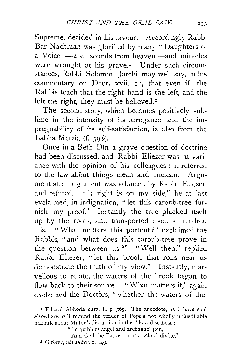Supreme, decided in his favour. Accordingly Rabbi Bar-Nachman was glorified by many "Daughters of a Voice,"-i.e., sounds from heaven,-and miracles were wrought at his grave.<sup>1</sup> Under such circumstances, Rabbi Solomon Jarchi may well say, in his commentary on Deut. xvii. 11, that even if the Rabbis teach that the right hand is the left, and the left the right, they must be believed.<sup>2</sup>

The second story, which becomes positively sublime in the intensity of its arrogance and the impregnability of its self-satisfaction, is also from the Babha Metzia (f. 59 $\delta$ ).

Once in a Beth Din a grave question of doctrine had been discussed, and Rabbi Eliezer was at variance with the opinion of his colleagues : it referred to the law about things clean and unclean. Argument after argument was adduced by Rabbi Eliezer, and refuted. " If right is on my side," he at last exclaimed, in indignation, "let this caroub-tree furnish my proof." Instantly the tree plucked itself up by the roots, and transported itself a hundred ells. "What matters this portent?" exclaimed the Rabbis, "and what does this caroub-tree prove in the question between us?" "Well then," replied Rabbi Eliezer, "let this brook that rolls near us demonstrate the truth of my view." Instantly, marvellous to relate, the waters of the brook began to flow back to their source. " What matters it," again exclaimed the Doctors, "whether the waters of this

. <sup>1</sup>Edzard Abhoda Zara, ii. p. 365. The anecdote, as I have said elsewhere, will remind the reader of Pope's not wholly unjustifiable rcmark about Milton's discussion in the "Paradise Lost:"

"In quibbles angel and archangel join,

And God the Father turns a school divine."<br><sup>2</sup> Gfrürer, *ubs super*, p. 149.